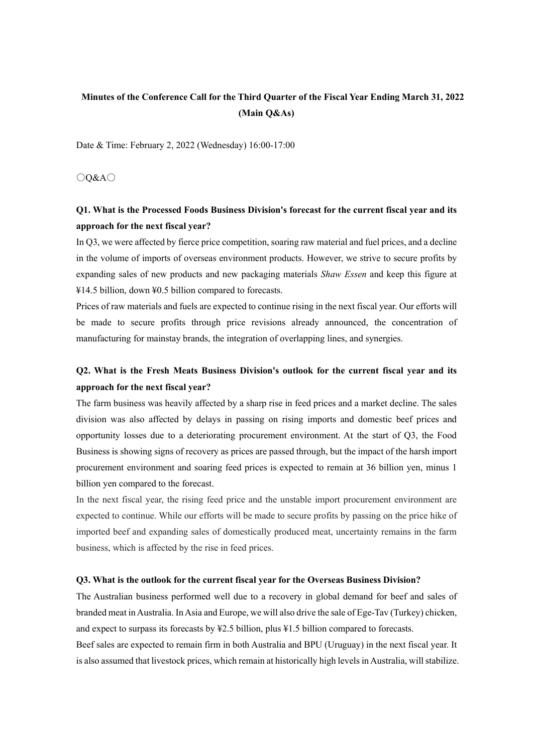# **Minutes of the Conference Call for the Third Quarter of the Fiscal Year Ending March 31, 2022 (Main Q&As)**

Date & Time: February 2, 2022 (Wednesday) 16:00-17:00

○Q&A○

# **Q1. What is the Processed Foods Business Division's forecast for the current fiscal year and its approach for the next fiscal year?**

In Q3, we were affected by fierce price competition, soaring raw material and fuel prices, and a decline in the volume of imports of overseas environment products. However, we strive to secure profits by expanding sales of new products and new packaging materials *Shaw Essen* and keep this figure at ¥14.5 billion, down ¥0.5 billion compared to forecasts.

Prices of raw materials and fuels are expected to continue rising in the next fiscal year. Our efforts will be made to secure profits through price revisions already announced, the concentration of manufacturing for mainstay brands, the integration of overlapping lines, and synergies.

### **Q2. What is the Fresh Meats Business Division's outlook for the current fiscal year and its approach for the next fiscal year?**

The farm business was heavily affected by a sharp rise in feed prices and a market decline. The sales division was also affected by delays in passing on rising imports and domestic beef prices and opportunity losses due to a deteriorating procurement environment. At the start of Q3, the Food Business is showing signs of recovery as prices are passed through, but the impact of the harsh import procurement environment and soaring feed prices is expected to remain at 36 billion yen, minus 1 billion yen compared to the forecast.

In the next fiscal year, the rising feed price and the unstable import procurement environment are expected to continue. While our efforts will be made to secure profits by passing on the price hike of imported beef and expanding sales of domestically produced meat, uncertainty remains in the farm business, which is affected by the rise in feed prices.

#### **Q3. What is the outlook for the current fiscal year for the Overseas Business Division?**

The Australian business performed well due to a recovery in global demand for beef and sales of branded meat in Australia. In Asia and Europe, we will also drive the sale of Ege-Tav (Turkey) chicken, and expect to surpass its forecasts by ¥2.5 billion, plus ¥1.5 billion compared to forecasts.

Beef sales are expected to remain firm in both Australia and BPU (Uruguay) in the next fiscal year. It is also assumed that livestock prices, which remain at historically high levels in Australia, will stabilize.